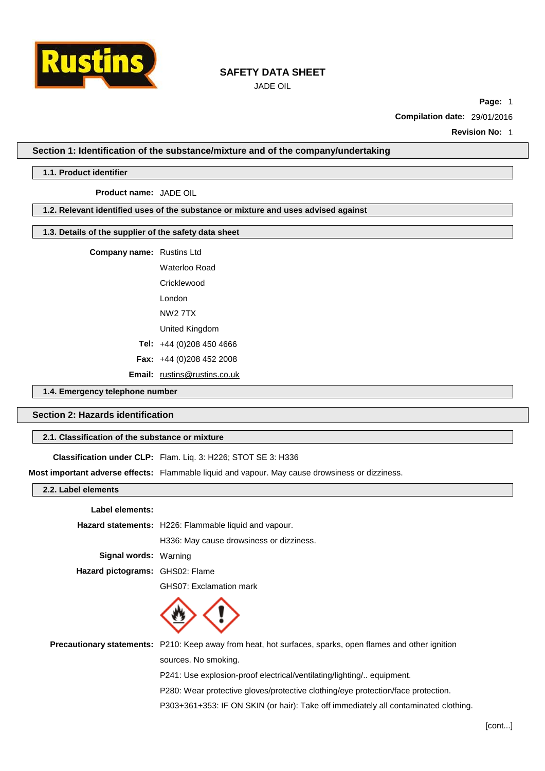

JADE OIL

**Page:** 1

**Compilation date:** 29/01/2016

**Revision No:** 1

**Section 1: Identification of the substance/mixture and of the company/undertaking**

# **1.1. Product identifier**

**Product name:** JADE OIL

# **1.2. Relevant identified uses of the substance or mixture and uses advised against**

## **1.3. Details of the supplier of the safety data sheet**

**Company name:** Rustins Ltd

Waterloo Road

**Cricklewood** 

London

NW2 7TX

United Kingdom

**Tel:** +44 (0)208 450 4666

**Fax:** +44 (0)208 452 2008

**Email:** [rustins@rustins.co.uk](mailto:rustins@rustins.co.uk)

# **1.4. Emergency telephone number**

# **Section 2: Hazards identification**

## **2.1. Classification of the substance or mixture**

**Classification under CLP:** Flam. Liq. 3: H226; STOT SE 3: H336

**Most important adverse effects:** Flammable liquid and vapour. May cause drowsiness or dizziness.

|  | 2.2. Label elements |  |
|--|---------------------|--|
|  |                     |  |

#### **Label elements:**

**Hazard statements:** H226: Flammable liquid and vapour.

H336: May cause drowsiness or dizziness.

**Signal words:** Warning

**Hazard pictograms:** GHS02: Flame

GHS07: Exclamation mark



**Precautionary statements:** P210: Keep away from heat, hot surfaces, sparks, open flames and other ignition sources. No smoking.

P241: Use explosion-proof electrical/ventilating/lighting/.. equipment.

P280: Wear protective gloves/protective clothing/eye protection/face protection.

P303+361+353: IF ON SKIN (or hair): Take off immediately all contaminated clothing.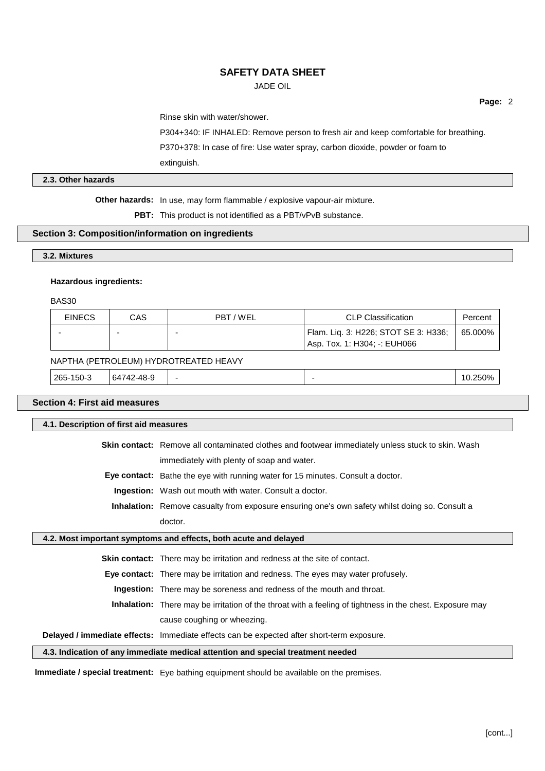JADE OIL

**Page:** 2

Rinse skin with water/shower.

P304+340: IF INHALED: Remove person to fresh air and keep comfortable for breathing.

P370+378: In case of fire: Use water spray, carbon dioxide, powder or foam to

extinguish.

## **2.3. Other hazards**

**Other hazards:** In use, may form flammable / explosive vapour-air mixture.

**PBT:** This product is not identified as a PBT/vPvB substance.

#### **Section 3: Composition/information on ingredients**

#### **3.2. Mixtures**

#### **Hazardous ingredients:**

BAS30

| <b>EINECS</b> | CAS | PBT/WEL | <b>CLP Classification</b>                                            | Percent |
|---------------|-----|---------|----------------------------------------------------------------------|---------|
| -             |     |         | Flam. Liq. 3: H226; STOT SE 3: H336;<br>Asp. Tox. 1: H304: -: EUH066 | 65.000% |

#### NAPTHA (PETROLEUM) HYDROTREATED HEAVY

| 265-150-3 | ., 42-48- <sup>o</sup><br>64 |  | 250%<br>'U. |
|-----------|------------------------------|--|-------------|
|           |                              |  |             |

# **Section 4: First aid measures**

**4.1. Description of first aid measures**

**Skin contact:** Remove all contaminated clothes and footwear immediately unless stuck to skin. Wash immediately with plenty of soap and water.

**Eye contact:** Bathe the eye with running water for 15 minutes. Consult a doctor.

**Ingestion:** Wash out mouth with water. Consult a doctor.

**Inhalation:** Remove casualty from exposure ensuring one's own safety whilst doing so. Consult a doctor.

#### **4.2. Most important symptoms and effects, both acute and delayed**

**Skin contact:** There may be irritation and redness at the site of contact.

**Eye contact:** There may be irritation and redness. The eyes may water profusely.

**Ingestion:** There may be soreness and redness of the mouth and throat.

**Inhalation:** There may be irritation of the throat with a feeling of tightness in the chest. Exposure may cause coughing or wheezing.

## **Delayed / immediate effects:** Immediate effects can be expected after short-term exposure.

#### **4.3. Indication of any immediate medical attention and special treatment needed**

**Immediate / special treatment:** Eye bathing equipment should be available on the premises.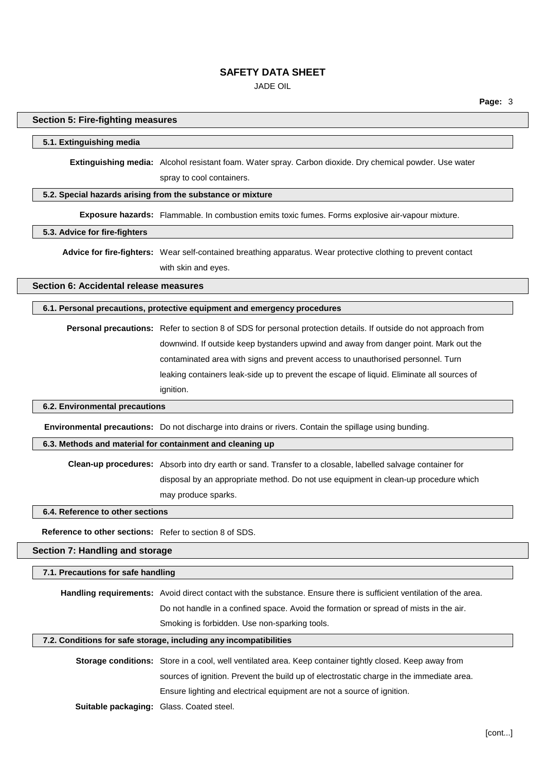JADE OIL

## **Section 5: Fire-fighting measures**

#### **5.1. Extinguishing media**

**Extinguishing media:** Alcohol resistant foam. Water spray. Carbon dioxide. Dry chemical powder. Use water spray to cool containers.

# **5.2. Special hazards arising from the substance or mixture**

**Exposure hazards:** Flammable. In combustion emits toxic fumes. Forms explosive air-vapour mixture.

# **5.3. Advice for fire-fighters**

**Advice for fire-fighters:** Wear self-contained breathing apparatus. Wear protective clothing to prevent contact with skin and eyes.

**Section 6: Accidental release measures**

#### **6.1. Personal precautions, protective equipment and emergency procedures**

**Personal precautions:** Refer to section 8 of SDS for personal protection details. If outside do not approach from downwind. If outside keep bystanders upwind and away from danger point. Mark out the contaminated area with signs and prevent access to unauthorised personnel. Turn leaking containers leak-side up to prevent the escape of liquid. Eliminate all sources of ignition.

## **6.2. Environmental precautions**

**Environmental precautions:** Do not discharge into drains or rivers. Contain the spillage using bunding.

#### **6.3. Methods and material for containment and cleaning up**

**Clean-up procedures:** Absorb into dry earth or sand. Transfer to a closable, labelled salvage container for disposal by an appropriate method. Do not use equipment in clean-up procedure which may produce sparks.

**6.4. Reference to other sections**

**Reference to other sections:** Refer to section 8 of SDS.

**Section 7: Handling and storage**

#### **7.1. Precautions for safe handling**

**Handling requirements:** Avoid direct contact with the substance. Ensure there is sufficient ventilation of the area. Do not handle in a confined space. Avoid the formation or spread of mists in the air. Smoking is forbidden. Use non-sparking tools.

#### **7.2. Conditions for safe storage, including any incompatibilities**

**Storage conditions:** Store in a cool, well ventilated area. Keep container tightly closed. Keep away from sources of ignition. Prevent the build up of electrostatic charge in the immediate area. Ensure lighting and electrical equipment are not a source of ignition. **Suitable packaging:** Glass. Coated steel.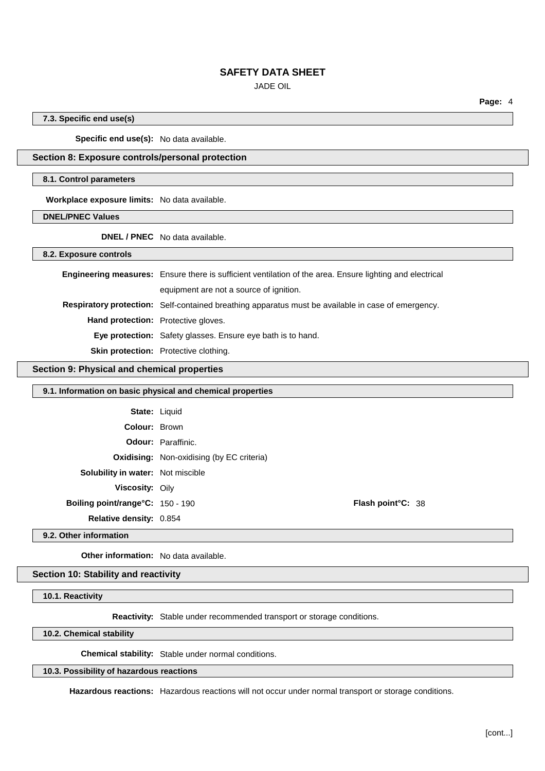JADE OIL

**Page:** 4

**7.3. Specific end use(s)**

**Specific end use(s):** No data available.

# **Section 8: Exposure controls/personal protection**

#### **8.1. Control parameters**

**Workplace exposure limits:** No data available.

**DNEL/PNEC Values**

**DNEL / PNEC** No data available.

**8.2. Exposure controls**

|                                            | <b>Engineering measures:</b> Ensure there is sufficient ventilation of the area. Ensure lighting and electrical |  |
|--------------------------------------------|-----------------------------------------------------------------------------------------------------------------|--|
|                                            | equipment are not a source of ignition.                                                                         |  |
|                                            | <b>Respiratory protection:</b> Self-contained breathing apparatus must be available in case of emergency.       |  |
| <b>Hand protection:</b> Protective gloves. |                                                                                                                 |  |
|                                            | <b>Eye protection:</b> Safety glasses. Ensure eye bath is to hand.                                              |  |
|                                            | Skin protection: Protective clothing.                                                                           |  |

## **Section 9: Physical and chemical properties**

| 9.1. Information on basic physical and chemical properties |                                                  |                           |
|------------------------------------------------------------|--------------------------------------------------|---------------------------|
| <b>State: Liquid</b>                                       |                                                  |                           |
| <b>Colour: Brown</b>                                       |                                                  |                           |
|                                                            | <b>Odour: Paraffinic.</b>                        |                           |
|                                                            | <b>Oxidising:</b> Non-oxidising (by EC criteria) |                           |
| <b>Solubility in water:</b> Not miscible                   |                                                  |                           |
| <b>Viscosity: Oily</b>                                     |                                                  |                           |
| Boiling point/range°C: 150 - 190                           |                                                  | <b>Flash point °C: 38</b> |
| <b>Relative density: 0.854</b>                             |                                                  |                           |
|                                                            |                                                  |                           |

**9.2. Other information**

**Other information:** No data available.

# **Section 10: Stability and reactivity**

**10.1. Reactivity**

**Reactivity:** Stable under recommended transport or storage conditions.

**10.2. Chemical stability**

**Chemical stability:** Stable under normal conditions.

# **10.3. Possibility of hazardous reactions**

**Hazardous reactions:** Hazardous reactions will not occur under normal transport or storage conditions.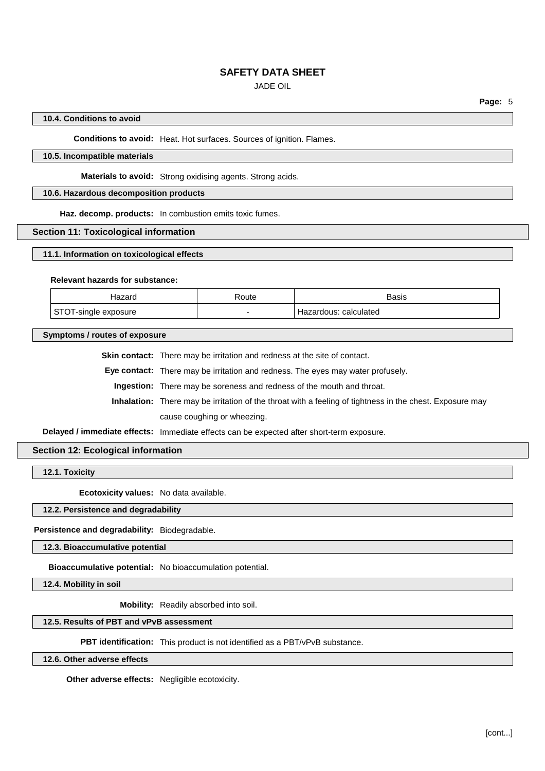JADE OIL

# **10.4. Conditions to avoid**

**Conditions to avoid:** Heat. Hot surfaces. Sources of ignition. Flames.

## **10.5. Incompatible materials**

**Materials to avoid:** Strong oxidising agents. Strong acids.

## **10.6. Hazardous decomposition products**

**Haz. decomp. products:** In combustion emits toxic fumes.

#### **Section 11: Toxicological information**

**11.1. Information on toxicological effects**

#### **Relevant hazards for substance:**

| ⊓azaru        | Route | <b>Basis</b>               |
|---------------|-------|----------------------------|
| osure<br>ווט⊤ | -     | calculated<br>: lazardous: |

**Symptoms / routes of exposure**

**Skin contact:** There may be irritation and redness at the site of contact.

**Eye contact:** There may be irritation and redness. The eyes may water profusely.

**Ingestion:** There may be soreness and redness of the mouth and throat.

**Inhalation:** There may be irritation of the throat with a feeling of tightness in the chest. Exposure may cause coughing or wheezing.

**Delayed / immediate effects:** Immediate effects can be expected after short-term exposure.

# **Section 12: Ecological information**

**12.1. Toxicity**

**Ecotoxicity values:** No data available.

# **12.2. Persistence and degradability**

**Persistence and degradability:** Biodegradable.

**12.3. Bioaccumulative potential**

**Bioaccumulative potential:** No bioaccumulation potential.

**12.4. Mobility in soil**

**Mobility:** Readily absorbed into soil.

#### **12.5. Results of PBT and vPvB assessment**

**PBT identification:** This product is not identified as a PBT/vPvB substance.

**12.6. Other adverse effects**

**Other adverse effects:** Negligible ecotoxicity.